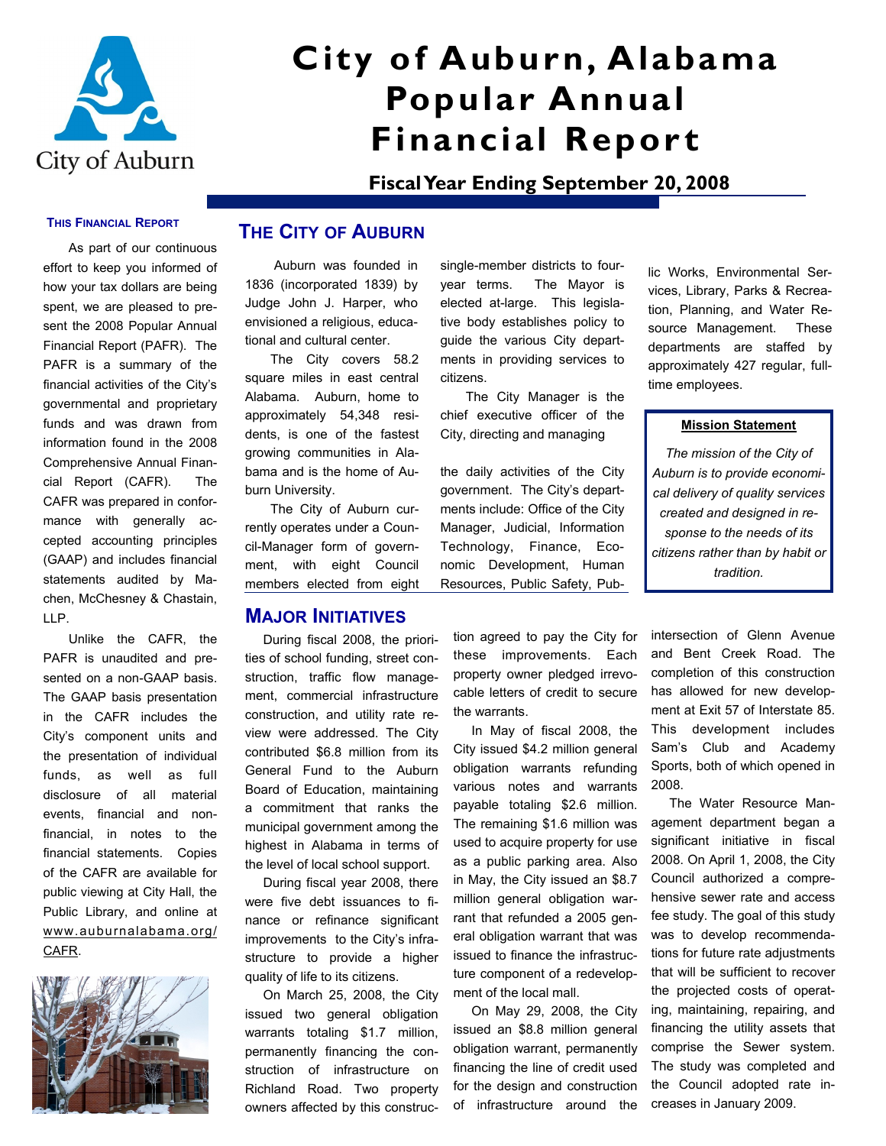

# **City of Auburn, Alabama Popular Annual Financial Report**

**Fiscal Year Ending September 20, 2008**

#### **THIS FINANCIAL REPORT**

As part of our continuous effort to keep you informed of how your tax dollars are being spent, we are pleased to present the 2008 Popular Annual Financial Report (PAFR). The PAFR is a summary of the financial activities of the City's governmental and proprietary funds and was drawn from information found in the 2008 Comprehensive Annual Financial Report (CAFR). The CAFR was prepared in conformance with generally accepted accounting principles (GAAP) and includes financial statements audited by Machen, McChesney & Chastain, LLP.

Unlike the CAFR, the PAFR is unaudited and presented on a non-GAAP basis. The GAAP basis presentation in the CAFR includes the City's component units and the presentation of individual funds, as well as full disclosure of all material events, financial and nonfinancial, in notes to the financial statements. Copies of the CAFR are available for public viewing at City Hall, the Public Library, and online at www.auburnalabama.org/ CAFR.



## **THE CITY OF AUBURN**

 Auburn was founded in 1836 (incorporated 1839) by Judge John J. Harper, who envisioned a religious, educational and cultural center.

The City covers 58.2 square miles in east central Alabama. Auburn, home to approximately 54,348 residents, is one of the fastest growing communities in Alabama and is the home of Auburn University.

The City of Auburn currently operates under a Council-Manager form of government, with eight Council members elected from eight

### **MAJOR INITIATIVES**

 During fiscal 2008, the priorities of school funding, street construction, traffic flow management, commercial infrastructure construction, and utility rate review were addressed. The City contributed \$6.8 million from its General Fund to the Auburn Board of Education, maintaining a commitment that ranks the municipal government among the highest in Alabama in terms of the level of local school support.

 During fiscal year 2008, there were five debt issuances to finance or refinance significant improvements to the City's infrastructure to provide a higher quality of life to its citizens.

 On March 25, 2008, the City issued two general obligation warrants totaling \$1.7 million, permanently financing the construction of infrastructure on Richland Road. Two property owners affected by this construc-

single-member districts to fouryear terms. The Mayor is elected at-large. This legislative body establishes policy to guide the various City departments in providing services to citizens.

The City Manager is the chief executive officer of the City, directing and managing

the daily activities of the City government. The City's departments include: Office of the City Manager, Judicial, Information Technology, Finance, Economic Development, Human Resources, Public Safety, Public Works, Environmental Services, Library, Parks & Recreation, Planning, and Water Resource Management. These departments are staffed by approximately 427 regular, fulltime employees.

#### **Mission Statement**

*The mission of the City of Auburn is to provide economical delivery of quality services created and designed in response to the needs of its citizens rather than by habit or tradition.*

tion agreed to pay the City for these improvements. Each property owner pledged irrevocable letters of credit to secure the warrants.

 In May of fiscal 2008, the City issued \$4.2 million general obligation warrants refunding various notes and warrants payable totaling \$2.6 million. The remaining \$1.6 million was used to acquire property for use as a public parking area. Also in May, the City issued an \$8.7 million general obligation warrant that refunded a 2005 general obligation warrant that was issued to finance the infrastructure component of a redevelopment of the local mall.

 On May 29, 2008, the City issued an \$8.8 million general obligation warrant, permanently financing the line of credit used for the design and construction of infrastructure around the

intersection of Glenn Avenue and Bent Creek Road. The completion of this construction has allowed for new development at Exit 57 of Interstate 85. This development includes Sam's Club and Academy Sports, both of which opened in 2008.

 The Water Resource Management department began a significant initiative in fiscal 2008. On April 1, 2008, the City Council authorized a comprehensive sewer rate and access fee study. The goal of this study was to develop recommendations for future rate adjustments that will be sufficient to recover the projected costs of operating, maintaining, repairing, and financing the utility assets that comprise the Sewer system. The study was completed and the Council adopted rate increases in January 2009.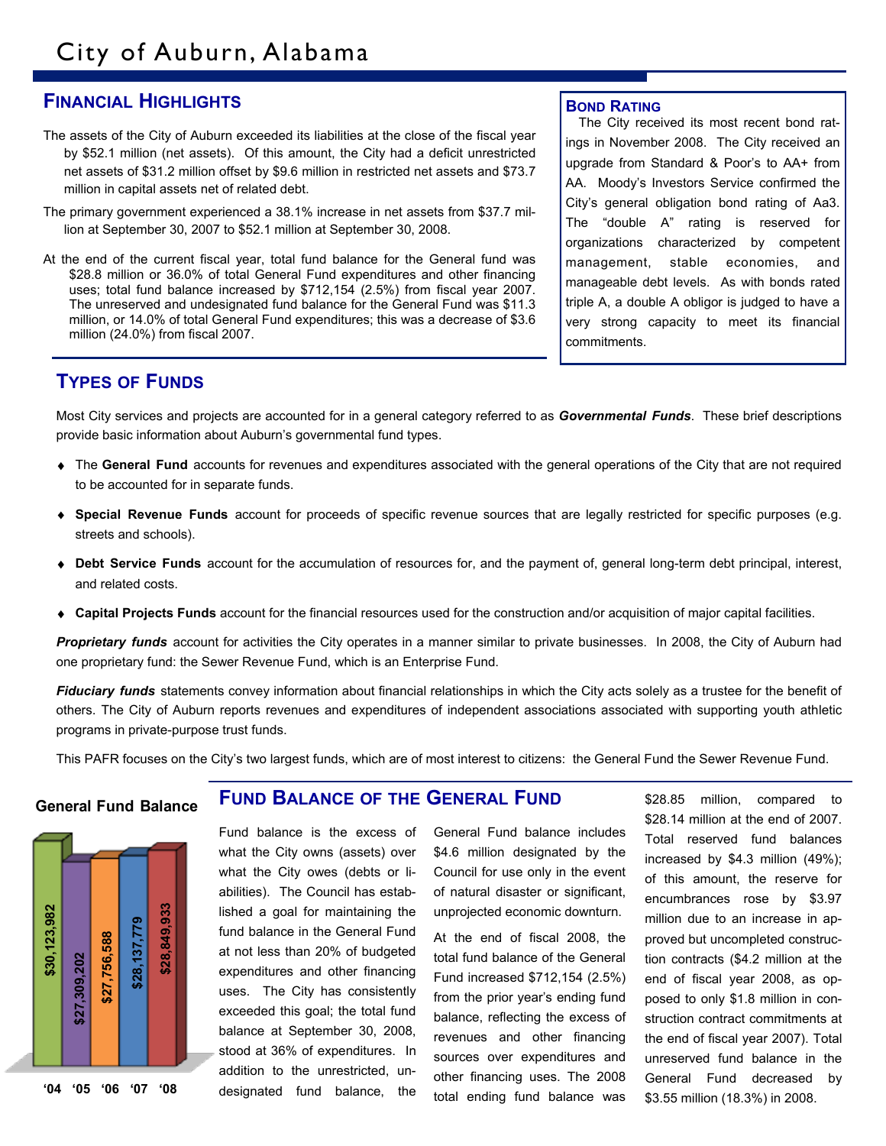# **FINANCIAL HIGHLIGHTS**

- The assets of the City of Auburn exceeded its liabilities at the close of the fiscal year by \$52.1 million (net assets). Of this amount, the City had a deficit unrestricted net assets of \$31.2 million offset by \$9.6 million in restricted net assets and \$73.7 million in capital assets net of related debt.
- The primary government experienced a 38.1% increase in net assets from \$37.7 million at September 30, 2007 to \$52.1 million at September 30, 2008.
- At the end of the current fiscal year, total fund balance for the General fund was \$28.8 million or 36.0% of total General Fund expenditures and other financing uses; total fund balance increased by \$712,154 (2.5%) from fiscal year 2007. The unreserved and undesignated fund balance for the General Fund was \$11.3 million, or 14.0% of total General Fund expenditures; this was a decrease of \$3.6 million (24.0%) from fiscal 2007.

#### **BOND RATING**

The City received its most recent bond ratings in November 2008. The City received an upgrade from Standard & Poor's to AA+ from AA. Moody's Investors Service confirmed the City's general obligation bond rating of Aa3. The "double A" rating is reserved for organizations characterized by competent management, stable economies, and manageable debt levels. As with bonds rated triple A, a double A obligor is judged to have a very strong capacity to meet its financial commitments.

# **TYPES OF FUNDS**

Most City services and projects are accounted for in a general category referred to as *Governmental Funds*. These brief descriptions provide basic information about Auburn's governmental fund types.

- The **General Fund** accounts for revenues and expenditures associated with the general operations of the City that are not required to be accounted for in separate funds.
- **Special Revenue Funds** account for proceeds of specific revenue sources that are legally restricted for specific purposes (e.g. streets and schools).
- **Debt Service Funds** account for the accumulation of resources for, and the payment of, general long-term debt principal, interest, and related costs.
- **Capital Projects Funds** account for the financial resources used for the construction and/or acquisition of major capital facilities.

*Proprietary funds* account for activities the City operates in a manner similar to private businesses. In 2008, the City of Auburn had one proprietary fund: the Sewer Revenue Fund, which is an Enterprise Fund.

*Fiduciary funds* statements convey information about financial relationships in which the City acts solely as a trustee for the benefit of others. The City of Auburn reports revenues and expenditures of independent associations associated with supporting youth athletic programs in private-purpose trust funds.

This PAFR focuses on the City's two largest funds, which are of most interest to citizens: the General Fund the Sewer Revenue Fund.

#### **General Fund Balance**



#### **FUND BALANCE OF THE GENERAL FUND**

Fund balance is the excess of what the City owns (assets) over what the City owes (debts or liabilities). The Council has established a goal for maintaining the fund balance in the General Fund at not less than 20% of budgeted expenditures and other financing uses. The City has consistently exceeded this goal; the total fund balance at September 30, 2008, stood at 36% of expenditures. In addition to the unrestricted, undesignated fund balance, the

General Fund balance includes \$4.6 million designated by the Council for use only in the event of natural disaster or significant, unprojected economic downturn.

At the end of fiscal 2008, the total fund balance of the General Fund increased \$712,154 (2.5%) from the prior year's ending fund balance, reflecting the excess of revenues and other financing sources over expenditures and other financing uses. The 2008 total ending fund balance was

\$28.85 million, compared to \$28.14 million at the end of 2007. Total reserved fund balances increased by \$4.3 million (49%); of this amount, the reserve for encumbrances rose by \$3.97 million due to an increase in approved but uncompleted construction contracts (\$4.2 million at the end of fiscal year 2008, as opposed to only \$1.8 million in construction contract commitments at the end of fiscal year 2007). Total unreserved fund balance in the General Fund decreased by \$3.55 million (18.3%) in 2008.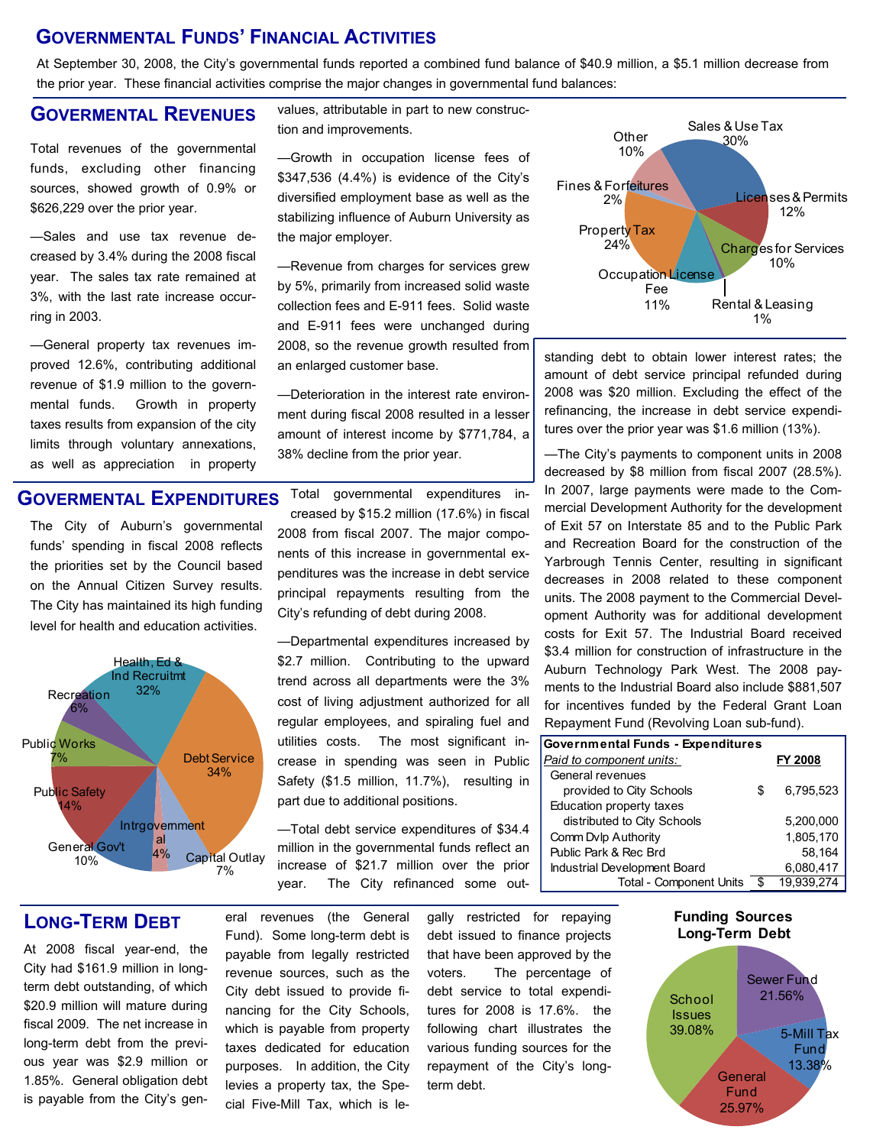# **GOVERNMENTAL FUNDS' FINANCIAL ACTIVITIES**

At September 30, 2008, the City's governmental funds reported a combined fund balance of \$40.9 million, a \$5.1 million decrease from the prior year. These financial activities comprise the major changes in governmental fund balances:

## **GOVERMENTAL REVENUES**

Total revenues of the governmental funds, excluding other financing sources, showed growth of 0.9% or \$626,229 over the prior year.

—Sales and use tax revenue decreased by 3.4% during the 2008 fiscal year. The sales tax rate remained at 3%, with the last rate increase occurring in 2003.

—General property tax revenues improved 12.6%, contributing additional revenue of \$1.9 million to the governmental funds. Growth in property taxes results from expansion of the city limits through voluntary annexations, as well as appreciation in property values, attributable in part to new construction and improvements.

—Growth in occupation license fees of \$347,536 (4.4%) is evidence of the City's diversified employment base as well as the stabilizing influence of Auburn University as the major employer.

—Revenue from charges for services grew by 5%, primarily from increased solid waste collection fees and E-911 fees. Solid waste and E-911 fees were unchanged during 2008, so the revenue growth resulted from an enlarged customer base.

—Deterioration in the interest rate environment during fiscal 2008 resulted in a lesser amount of interest income by \$771,784, a 38% decline from the prior year.

# **GOVERMENTAL EXPENDITURES**

The City of Auburn's governmental funds' spending in fiscal 2008 reflects the priorities set by the Council based on the Annual Citizen Survey results. The City has maintained its high funding level for health and education activities.



Total governmental expenditures increased by \$15.2 million (17.6%) in fiscal 2008 from fiscal 2007. The major components of this increase in governmental expenditures was the increase in debt service principal repayments resulting from the City's refunding of debt during 2008.

—Departmental expenditures increased by \$2.7 million. Contributing to the upward trend across all departments were the 3% cost of living adjustment authorized for all regular employees, and spiraling fuel and utilities costs. The most significant increase in spending was seen in Public Safety (\$1.5 million, 11.7%), resulting in part due to additional positions.

—Total debt service expenditures of \$34.4 million in the governmental funds reflect an increase of \$21.7 million over the prior year. The City refinanced some out-



Fines & Forfeitures 2%

**Other** 10%

amount of debt service principal refunded during 2008 was \$20 million. Excluding the effect of the refinancing, the increase in debt service expenditures over the prior year was \$1.6 million (13%).

30%

Sales & Use Tax

Licenses & Permits 12%

Sales & Use Tax<br>30%<br>Licenses<br>12<br>Charges for 10%<br>Rental & Leas<br>11%<br>in lower interest rise principal refunde<br>Excluding the effection of the Scrubing of the Scrubing in s<br>16 component units<br>16 component units<br>18 and to the Bo —The City's payments to component units in 2008 decreased by \$8 million from fiscal 2007 (28.5%). In 2007, large payments were made to the Commercial Development Authority for the development of Exit 57 on Interstate 85 and to the Public Park and Recreation Board for the construction of the Yarbrough Tennis Center, resulting in significant decreases in 2008 related to these component units. The 2008 payment to the Commercial Development Authority was for additional development costs for Exit 57. The Industrial Board received \$3.4 million for construction of infrastructure in the Auburn Technology Park West. The 2008 payments to the Industrial Board also include \$881,507 for incentives funded by the Federal Grant Loan Repayment Fund (Revolving Loan sub-fund).

| <b>Governmental Funds - Expenditures</b> |    |                |
|------------------------------------------|----|----------------|
| Paid to component units:                 |    | <b>FY 2008</b> |
| General revenues                         |    |                |
| provided to City Schools                 | S  | 6,795,523      |
| Education property taxes                 |    |                |
| distributed to City Schools              |    | 5.200.000      |
| Comm Dvlp Authority                      |    | 1,805,170      |
| Public Park & Rec Brd                    |    | 58,164         |
| Industrial Development Board             |    | 6,080,417      |
| <b>Total - Component Units</b>           | \$ | 19.939.274     |

# **LONG-TERM DEBT**

At 2008 fiscal year-end, the City had \$161.9 million in longterm debt outstanding, of which \$20.9 million will mature during fiscal 2009. The net increase in long-term debt from the previous year was \$2.9 million or 1.85%. General obligation debt is payable from the City's general revenues (the General Fund). Some long-term debt is payable from legally restricted revenue sources, such as the City debt issued to provide financing for the City Schools, which is payable from property taxes dedicated for education purposes. In addition, the City levies a property tax, the Special Five-Mill Tax, which is legally restricted for repaying debt issued to finance projects that have been approved by the voters. The percentage of debt service to total expenditures for 2008 is 17.6%. the following chart illustrates the various funding sources for the repayment of the City's longterm debt.